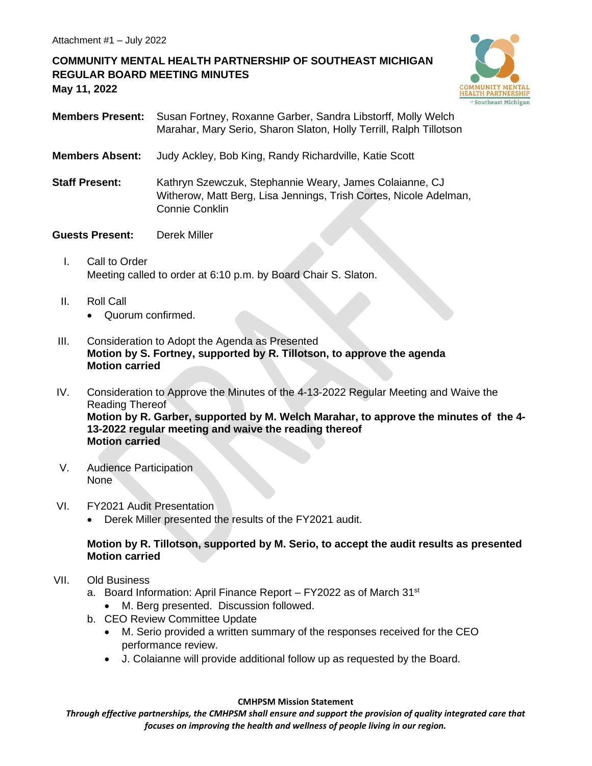# **COMMUNITY MENTAL HEALTH PARTNERSHIP OF SOUTHEAST MICHIGAN REGULAR BOARD MEETING MINUTES May 11, 2022**



- **Members Present:** Susan Fortney, Roxanne Garber, Sandra Libstorff, Molly Welch Marahar, Mary Serio, Sharon Slaton, Holly Terrill, Ralph Tillotson
- **Members Absent:** Judy Ackley, Bob King, Randy Richardville, Katie Scott
- **Staff Present:** Kathryn Szewczuk, Stephannie Weary, James Colaianne, CJ Witherow, Matt Berg, Lisa Jennings, Trish Cortes, Nicole Adelman, Connie Conklin
- **Guests Present:** Derek Miller
	- I. Call to Order Meeting called to order at 6:10 p.m. by Board Chair S. Slaton.
	- II. Roll Call
		- Quorum confirmed.
- III. Consideration to Adopt the Agenda as Presented **Motion by S. Fortney, supported by R. Tillotson, to approve the agenda Motion carried**
- IV. Consideration to Approve the Minutes of the 4-13-2022 Regular Meeting and Waive the Reading Thereof **Motion by R. Garber, supported by M. Welch Marahar, to approve the minutes of the 4- 13-2022 regular meeting and waive the reading thereof Motion carried**
- V. Audience Participation None
- VI. FY2021 Audit Presentation
	- Derek Miller presented the results of the FY2021 audit.

### **Motion by R. Tillotson, supported by M. Serio, to accept the audit results as presented Motion carried**

- VII. Old Business
	- a. Board Information: April Finance Report FY2022 as of March 31<sup>st</sup>
		- M. Berg presented. Discussion followed.
	- b. CEO Review Committee Update
		- M. Serio provided a written summary of the responses received for the CEO performance review.
		- J. Colaianne will provide additional follow up as requested by the Board.

#### **CMHPSM Mission Statement**

*Through effective partnerships, the CMHPSM shall ensure and support the provision of quality integrated care that focuses on improving the health and wellness of people living in our region.*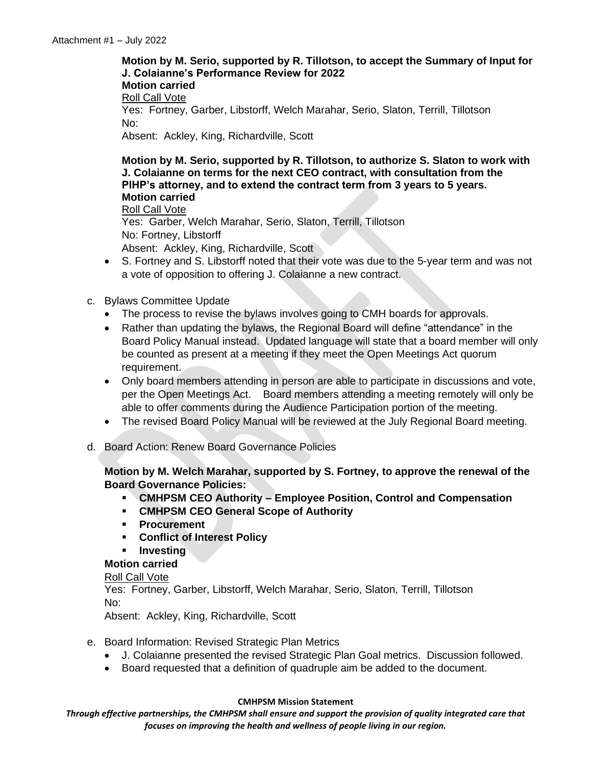# **Motion by M. Serio, supported by R. Tillotson, to accept the Summary of Input for J. Colaianne's Performance Review for 2022 Motion carried** Roll Call Vote Yes: Fortney, Garber, Libstorff, Welch Marahar, Serio, Slaton, Terrill, Tillotson No: Absent: Ackley, King, Richardville, Scott

#### **Motion by M. Serio, supported by R. Tillotson, to authorize S. Slaton to work with J. Colaianne on terms for the next CEO contract, with consultation from the PIHP's attorney, and to extend the contract term from 3 years to 5 years. Motion carried**

Roll Call Vote Yes: Garber, Welch Marahar, Serio, Slaton, Terrill, Tillotson No: Fortney, Libstorff

Absent: Ackley, King, Richardville, Scott

- S. Fortney and S. Libstorff noted that their vote was due to the 5-year term and was not a vote of opposition to offering J. Colaianne a new contract.
- c. Bylaws Committee Update
	- The process to revise the bylaws involves going to CMH boards for approvals.
	- Rather than updating the bylaws, the Regional Board will define "attendance" in the Board Policy Manual instead. Updated language will state that a board member will only be counted as present at a meeting if they meet the Open Meetings Act quorum requirement.
	- Only board members attending in person are able to participate in discussions and vote, per the Open Meetings Act. Board members attending a meeting remotely will only be able to offer comments during the Audience Participation portion of the meeting.
	- The revised Board Policy Manual will be reviewed at the July Regional Board meeting.
- d. Board Action: Renew Board Governance Policies

### **Motion by M. Welch Marahar, supported by S. Fortney, to approve the renewal of the Board Governance Policies:**

- **CMHPSM CEO Authority – Employee Position, Control and Compensation**
- **CMHPSM CEO General Scope of Authority**
- **Procurement**
- **Conflict of Interest Policy**
- **Investing**

### **Motion carried**

### Roll Call Vote

Yes: Fortney, Garber, Libstorff, Welch Marahar, Serio, Slaton, Terrill, Tillotson No:

Absent: Ackley, King, Richardville, Scott

- e. Board Information: Revised Strategic Plan Metrics
	- J. Colaianne presented the revised Strategic Plan Goal metrics. Discussion followed.
	- Board requested that a definition of quadruple aim be added to the document.

### **CMHPSM Mission Statement**

*Through effective partnerships, the CMHPSM shall ensure and support the provision of quality integrated care that focuses on improving the health and wellness of people living in our region.*